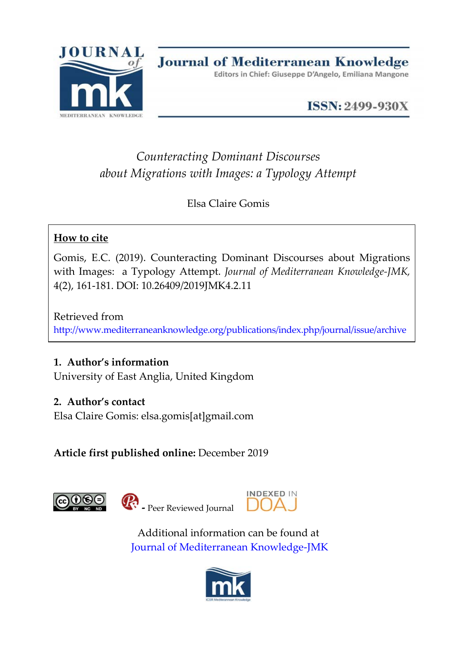

**ISSN: 2499-930X** 

# *Counteracting Dominant Discourses about Migrations with Images: a Typology Attempt*

Elsa Claire Gomis

## **How to cite**

Gomis, E.C. (2019). Counteracting Dominant Discourses about Migrations with Images: a Typology Attempt. *Journal of Mediterranean Knowledge-JMK,*  4(2), 161-181. DOI: 10.26409/2019JMK4.2.11

Retrieved from <http://www.mediterraneanknowledge.org/publications/index.php/journal/issue/archive>

## **1. Author's information**

University of East Anglia, United Kingdom

## **2. Author's contact**

Elsa Claire Gomis: elsa.gomis[at]gmail.com

**Article first published online:** December 2019





**-** Peer Reviewed Journal



Additional information can be found at [Journal of Mediterranean Knowledge-JMK](http://www.mediterraneanknowledge.org/publications/index.php/journal/about)

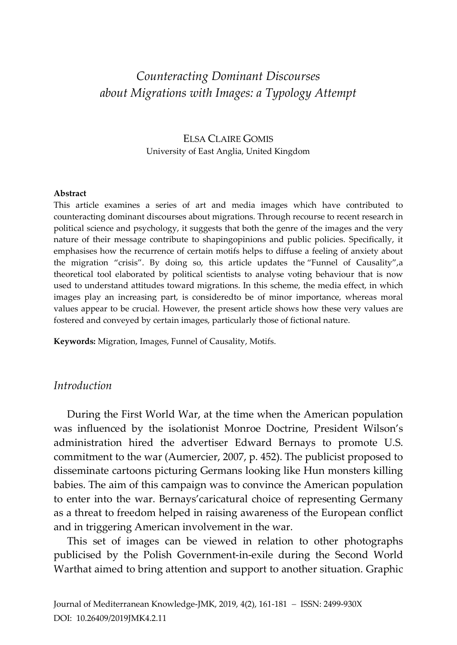## *Counteracting Dominant Discourses about Migrations with Images: a Typology Attempt*

### ELSA CLAIRE GOMIS University of East Anglia, United Kingdom

#### **Abstract**

This article examines a series of art and media images which have contributed to counteracting dominant discourses about migrations. Through recourse to recent research in political science and psychology, it suggests that both the genre of the images and the very nature of their message contribute to shapingopinions and public policies. Specifically, it emphasises how the recurrence of certain motifs helps to diffuse a feeling of anxiety about the migration "crisis". By doing so, this article updates the "Funnel of Causality",a theoretical tool elaborated by political scientists to analyse voting behaviour that is now used to understand attitudes toward migrations. In this scheme, the media effect, in which images play an increasing part, is consideredto be of minor importance, whereas moral values appear to be crucial. However, the present article shows how these very values are fostered and conveyed by certain images, particularly those of fictional nature.

**Keywords:** Migration, Images, Funnel of Causality, Motifs.

#### *Introduction*

During the First World War, at the time when the American population was influenced by the isolationist Monroe Doctrine, President Wilson's administration hired the advertiser Edward Bernays to promote U.S. commitment to the war (Aumercier, 2007, p. 452). The publicist proposed to disseminate cartoons picturing Germans looking like Hun monsters killing babies. The aim of this campaign was to convince the American population to enter into the war. Bernays'caricatural choice of representing Germany as a threat to freedom helped in raising awareness of the European conflict and in triggering American involvement in the war.

This set of images can be viewed in relation to other photographs publicised by the Polish Government-in-exile during the Second World Warthat aimed to bring attention and support to another situation. Graphic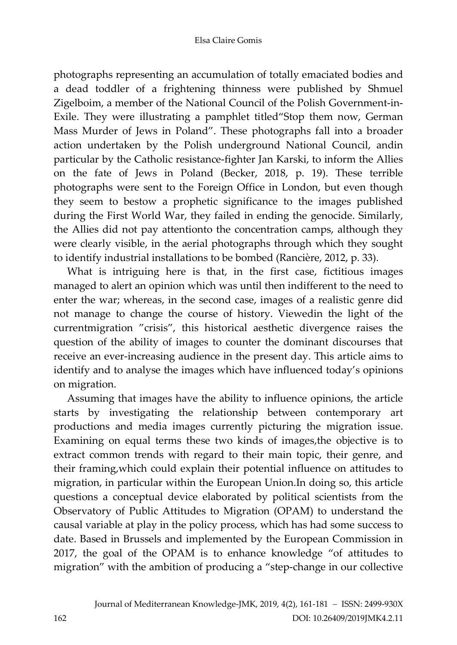photographs representing an accumulation of totally emaciated bodies and a dead toddler of a frightening thinness were published by Shmuel Zigelboim, a member of the National Council of the Polish Government-in-Exile. They were illustrating a pamphlet titled"Stop them now, German Mass Murder of Jews in Poland". These photographs fall into a broader action undertaken by the Polish underground National Council, andin particular by the Catholic resistance-fighter Jan Karski, to inform the Allies on the fate of Jews in Poland (Becker, 2018, p. 19). These terrible photographs were sent to the Foreign Office in London, but even though they seem to bestow a prophetic significance to the images published during the First World War, they failed in ending the genocide. Similarly, the Allies did not pay attentionto the concentration camps, although they were clearly visible, in the aerial photographs through which they sought to identify industrial installations to be bombed (Rancière, 2012, p. 33).

What is intriguing here is that, in the first case, fictitious images managed to alert an opinion which was until then indifferent to the need to enter the war; whereas, in the second case, images of a realistic genre did not manage to change the course of history. Viewedin the light of the currentmigration "crisis", this historical aesthetic divergence raises the question of the ability of images to counter the dominant discourses that receive an ever-increasing audience in the present day. This article aims to identify and to analyse the images which have influenced today's opinions on migration.

Assuming that images have the ability to influence opinions, the article starts by investigating the relationship between contemporary art productions and media images currently picturing the migration issue. Examining on equal terms these two kinds of images,the objective is to extract common trends with regard to their main topic, their genre, and their framing,which could explain their potential influence on attitudes to migration, in particular within the European Union.In doing so, this article questions a conceptual device elaborated by political scientists from the Observatory of Public Attitudes to Migration (OPAM) to understand the causal variable at play in the policy process, which has had some success to date. Based in Brussels and implemented by the European Commission in 2017, the goal of the OPAM is to enhance knowledge "of attitudes to migration" with the ambition of producing a "step-change in our collective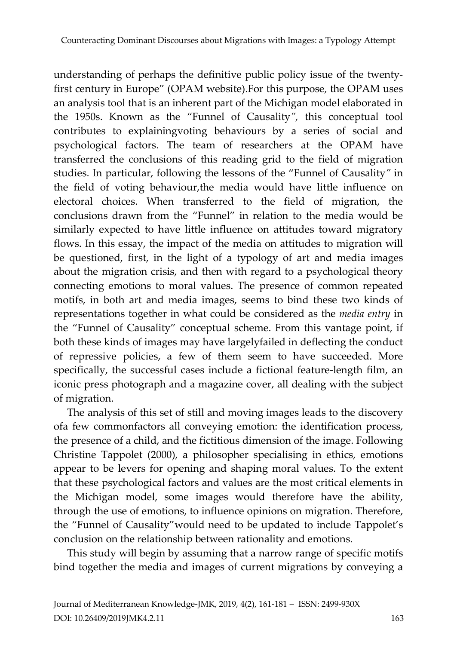understanding of perhaps the definitive public policy issue of the twentyfirst century in Europe" (OPAM website).For this purpose, the OPAM uses an analysis tool that is an inherent part of the Michigan model elaborated in the 1950s. Known as the "Funnel of Causality*",* this conceptual tool contributes to explainingvoting behaviours by a series of social and psychological factors. The team of researchers at the OPAM have transferred the conclusions of this reading grid to the field of migration studies. In particular, following the lessons of the "Funnel of Causality*"* in the field of voting behaviour,the media would have little influence on electoral choices. When transferred to the field of migration, the conclusions drawn from the "Funnel" in relation to the media would be similarly expected to have little influence on attitudes toward migratory flows. In this essay, the impact of the media on attitudes to migration will be questioned, first, in the light of a typology of art and media images about the migration crisis, and then with regard to a psychological theory connecting emotions to moral values. The presence of common repeated motifs, in both art and media images, seems to bind these two kinds of representations together in what could be considered as the *media entry* in the "Funnel of Causality" conceptual scheme. From this vantage point, if both these kinds of images may have largelyfailed in deflecting the conduct of repressive policies, a few of them seem to have succeeded. More specifically, the successful cases include a fictional feature-length film, an iconic press photograph and a magazine cover, all dealing with the subject of migration.

The analysis of this set of still and moving images leads to the discovery ofa few commonfactors all conveying emotion: the identification process, the presence of a child, and the fictitious dimension of the image. Following Christine Tappolet (2000), a philosopher specialising in ethics, emotions appear to be levers for opening and shaping moral values. To the extent that these psychological factors and values are the most critical elements in the Michigan model, some images would therefore have the ability, through the use of emotions, to influence opinions on migration. Therefore, the "Funnel of Causality"would need to be updated to include Tappolet's conclusion on the relationship between rationality and emotions.

This study will begin by assuming that a narrow range of specific motifs bind together the media and images of current migrations by conveying a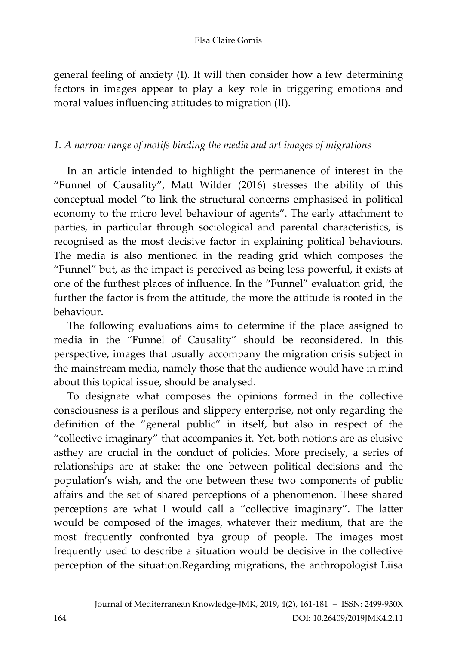#### Elsa Claire Gomis

general feeling of anxiety (I). It will then consider how a few determining factors in images appear to play a key role in triggering emotions and moral values influencing attitudes to migration (II).

## *1. A narrow range of motifs binding the media and art images of migrations*

In an article intended to highlight the permanence of interest in the "Funnel of Causality", Matt Wilder (2016) stresses the ability of this conceptual model "to link the structural concerns emphasised in political economy to the micro level behaviour of agents". The early attachment to parties, in particular through sociological and parental characteristics, is recognised as the most decisive factor in explaining political behaviours. The media is also mentioned in the reading grid which composes the "Funnel" but, as the impact is perceived as being less powerful, it exists at one of the furthest places of influence. In the "Funnel" evaluation grid, the further the factor is from the attitude, the more the attitude is rooted in the behaviour.

The following evaluations aims to determine if the place assigned to media in the "Funnel of Causality" should be reconsidered. In this perspective, images that usually accompany the migration crisis subject in the mainstream media, namely those that the audience would have in mind about this topical issue, should be analysed.

To designate what composes the opinions formed in the collective consciousness is a perilous and slippery enterprise, not only regarding the definition of the "general public" in itself, but also in respect of the "collective imaginary" that accompanies it. Yet, both notions are as elusive asthey are crucial in the conduct of policies. More precisely, a series of relationships are at stake: the one between political decisions and the population's wish, and the one between these two components of public affairs and the set of shared perceptions of a phenomenon. These shared perceptions are what I would call a "collective imaginary". The latter would be composed of the images, whatever their medium, that are the most frequently confronted bya group of people. The images most frequently used to describe a situation would be decisive in the collective perception of the situation.Regarding migrations, the anthropologist Liisa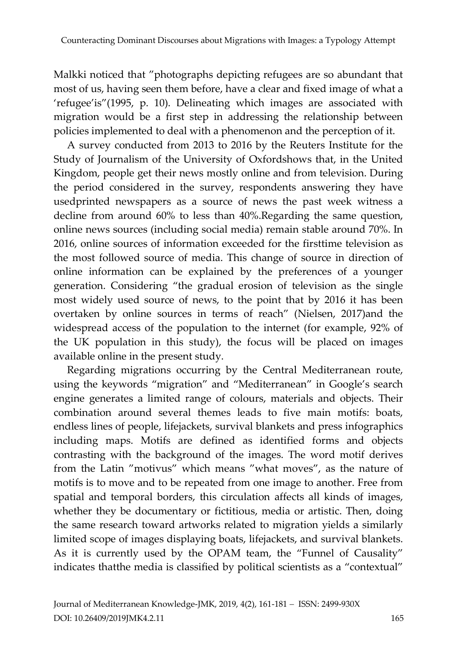Malkki noticed that "photographs depicting refugees are so abundant that most of us, having seen them before, have a clear and fixed image of what a 'refugee'is"(1995, p. 10). Delineating which images are associated with migration would be a first step in addressing the relationship between policies implemented to deal with a phenomenon and the perception of it.

A survey conducted from 2013 to 2016 by the Reuters Institute for the Study of Journalism of the University of Oxfordshows that, in the United Kingdom, people get their news mostly online and from television. During the period considered in the survey, respondents answering they have usedprinted newspapers as a source of news the past week witness a decline from around 60% to less than 40%.Regarding the same question, online news sources (including social media) remain stable around 70%. In 2016, online sources of information exceeded for the firsttime television as the most followed source of media. This change of source in direction of online information can be explained by the preferences of a younger generation. Considering "the gradual erosion of television as the single most widely used source of news, to the point that by 2016 it has been overtaken by online sources in terms of reach" [\(Nielsen,](http://reutersinstitute.politics.ox.ac.uk/people/dr-rasmus-kleis-nielsen-director-research) 2017)and the widespread access of the population to the internet (for example, 92% of the UK population in this study), the focus will be placed on images available online in the present study.

Regarding migrations occurring by the Central Mediterranean route, using the keywords "migration" and "Mediterranean" in Google's search engine generates a limited range of colours, materials and objects. Their combination around several themes leads to five main motifs: boats, endless lines of people, lifejackets, survival blankets and press infographics including maps. Motifs are defined as identified forms and objects contrasting with the background of the images. The word motif derives from the Latin "motivus" which means "what moves", as the nature of motifs is to move and to be repeated from one image to another. Free from spatial and temporal borders, this circulation affects all kinds of images, whether they be documentary or fictitious, media or artistic. Then, doing the same research toward artworks related to migration yields a similarly limited scope of images displaying boats, lifejackets, and survival blankets. As it is currently used by the OPAM team, the "Funnel of Causality" indicates thatthe media is classified by political scientists as a "contextual"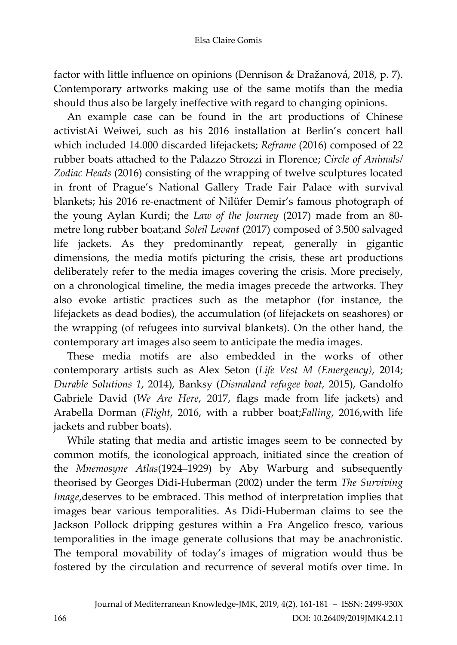factor with little influence on opinions (Dennison & Dražanová, 2018, p. 7). Contemporary artworks making use of the same motifs than the media should thus also be largely ineffective with regard to changing opinions.

An example case can be found in the art productions of Chinese activistAi Weiwei, such as his 2016 installation at Berlin's concert hall which included 14.000 discarded lifejackets; *Reframe* (2016) composed of 22 rubber boats attached to the Palazzo Strozzi in Florence; *Circle of Animals/ Zodiac Heads* (2016) consisting of the wrapping of twelve sculptures located in front of Prague's National Gallery Trade Fair Palace with survival blankets; his 2016 re-enactment of Nilüfer Demir's famous photograph of the young Aylan Kurdi; the *Law of the Journey* (2017) made from an 80 metre long rubber boat;and *Soleil Levant* (2017) composed of 3.500 salvaged life jackets. As they predominantly repeat, generally in gigantic dimensions, the media motifs picturing the crisis, these art productions deliberately refer to the media images covering the crisis. More precisely, on a chronological timeline, the media images precede the artworks. They also evoke artistic practices such as the metaphor (for instance, the lifejackets as dead bodies), the accumulation (of lifejackets on seashores) or the wrapping (of refugees into survival blankets). On the other hand, the contemporary art images also seem to anticipate the media images.

These media motifs are also embedded in the works of other contemporary artists such as Alex Seton (*Life Vest M (Emergency)*, 2014; *Durable Solutions 1*, 2014), Banksy (*Dismaland refugee boat,* 2015), Gandolfo Gabriele David (*We Are Here*, 2017, flags made from life jackets) and Arabella Dorman (*Flight*, 2016, with a rubber boat;*Falling*, 2016,with life jackets and rubber boats).

While stating that media and artistic images seem to be connected by common motifs, the iconological approach, initiated since the creation of the *Mnemosyne Atlas*(1924–1929) by Aby Warburg and subsequently theorised by Georges Didi-Huberman (2002) under the term *The Surviving Image*,deserves to be embraced. This method of interpretation implies that images bear various temporalities. As Didi-Huberman claims to see the Jackson Pollock dripping gestures within a Fra Angelico fresco, various temporalities in the image generate collusions that may be anachronistic. The temporal movability of today's images of migration would thus be fostered by the circulation and recurrence of several motifs over time. In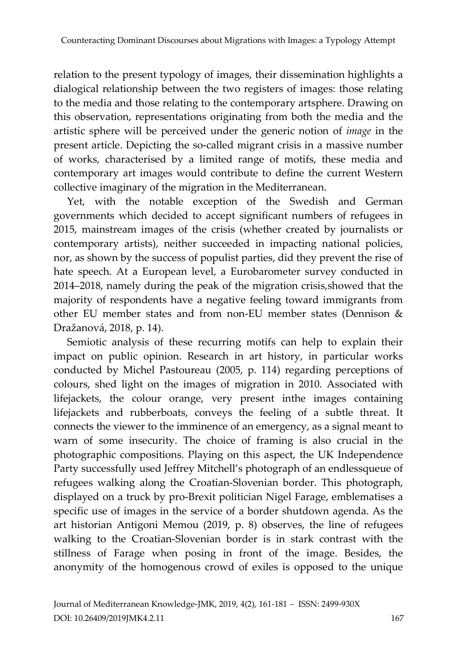relation to the present typology of images, their dissemination highlights a dialogical relationship between the two registers of images: those relating to the media and those relating to the contemporary artsphere. Drawing on this observation, representations originating from both the media and the artistic sphere will be perceived under the generic notion of *image* in the present article. Depicting the so-called migrant crisis in a massive number of works, characterised by a limited range of motifs, these media and contemporary art images would contribute to define the current Western collective imaginary of the migration in the Mediterranean.

Yet, with the notable exception of the Swedish and German governments which decided to accept significant numbers of refugees in 2015, mainstream images of the crisis (whether created by journalists or contemporary artists), neither succeeded in impacting national policies, nor, as shown by the success of populist parties, did they prevent the rise of hate speech. At a European level, a Eurobarometer survey conducted in 2014–2018, namely during the peak of the migration crisis,showed that the majority of respondents have a negative feeling toward immigrants from other EU member states and from non-EU member states (Dennison & Dražanová, 2018, p. 14).

Semiotic analysis of these recurring motifs can help to explain their impact on public opinion. Research in art history, in particular works conducted by Michel Pastoureau (2005, p. 114) regarding perceptions of colours, shed light on the images of migration in 2010. Associated with lifejackets, the colour orange, very present inthe images containing lifejackets and rubberboats, conveys the feeling of a subtle threat. It connects the viewer to the imminence of an emergency, as a signal meant to warn of some insecurity. The choice of framing is also crucial in the photographic compositions. Playing on this aspect, the UK Independence Party successfully used Jeffrey Mitchell's photograph of an endlessqueue of refugees walking along the Croatian-Slovenian border. This photograph, displayed on a truck by pro-Brexit politician Nigel Farage, emblematises a specific use of images in the service of a border shutdown agenda. As the art historian Antigoni Memou (2019, p. 8) observes, the line of refugees walking to the Croatian-Slovenian border is in stark contrast with the stillness of Farage when posing in front of the image. Besides, the anonymity of the homogenous crowd of exiles is opposed to the unique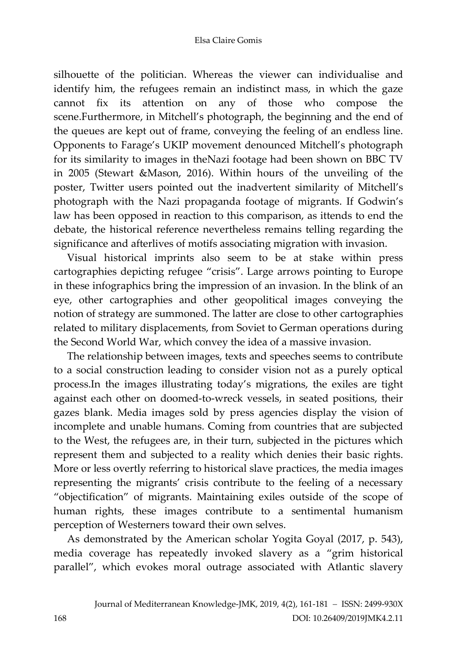#### Elsa Claire Gomis

silhouette of the politician. Whereas the viewer can individualise and identify him, the refugees remain an indistinct mass, in which the gaze cannot fix its attention on any of those who compose the scene.Furthermore, in Mitchell's photograph, the beginning and the end of the queues are kept out of frame, conveying the feeling of an endless line. Opponents to Farage's UKIP movement denounced Mitchell's photograph for its similarity to images in theNazi footage had been shown on BBC TV in 2005 (Stewart &Mason, 2016). Within hours of the unveiling of the poster, Twitter users pointed out the inadvertent similarity of Mitchell's photograph with the Nazi propaganda footage of migrants. If Godwin's law has been opposed in reaction to this comparison, as ittends to end the debate, the historical reference nevertheless remains telling regarding the significance and afterlives of motifs associating migration with invasion.

Visual historical imprints also seem to be at stake within press cartographies depicting refugee "crisis". Large arrows pointing to Europe in these infographics bring the impression of an invasion. In the blink of an eye, other cartographies and other geopolitical images conveying the notion of strategy are summoned. The latter are close to other cartographies related to military displacements, from Soviet to German operations during the Second World War, which convey the idea of a massive invasion.

The relationship between images, texts and speeches seems to contribute to a social construction leading to consider vision not as a purely optical process.In the images illustrating today's migrations, the exiles are tight against each other on doomed-to-wreck vessels, in seated positions, their gazes blank. Media images sold by press agencies display the vision of incomplete and unable humans. Coming from countries that are subjected to the West, the refugees are, in their turn, subjected in the pictures which represent them and subjected to a reality which denies their basic rights. More or less overtly referring to historical slave practices, the media images representing the migrants' crisis contribute to the feeling of a necessary "objectification" of migrants. Maintaining exiles outside of the scope of human rights, these images contribute to a sentimental humanism perception of Westerners toward their own selves.

As demonstrated by the American scholar Yogita Goyal (2017, p. 543), media coverage has repeatedly invoked slavery as a "grim historical parallel", which evokes moral outrage associated with Atlantic slavery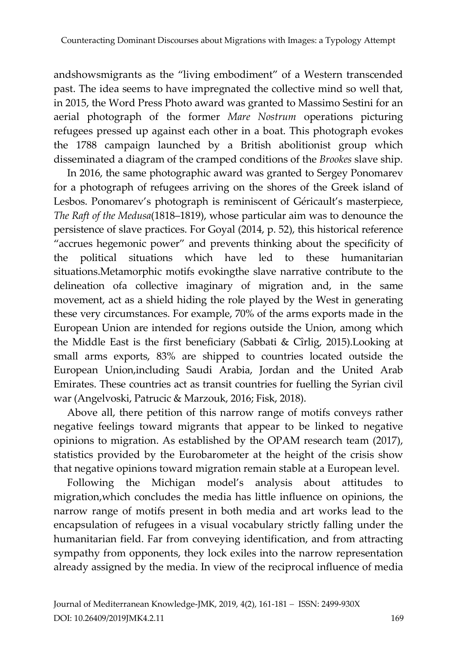andshowsmigrants as the "living embodiment" of a Western transcended past. The idea seems to have impregnated the collective mind so well that, in 2015, the Word Press Photo award was granted to Massimo Sestini for an aerial photograph of the former *Mare Nostrum* operations picturing refugees pressed up against each other in a boat. This photograph evokes the 1788 campaign launched by a British abolitionist group which disseminated a diagram of the cramped conditions of the *Brookes* slave ship.

In 2016, the same photographic award was granted to Sergey Ponomarev for a photograph of refugees arriving on the shores of the Greek island of Lesbos. Ponomarev's photograph is reminiscent of Géricault's masterpiece, *The Raft of the Medusa*(1818–1819), whose particular aim was to denounce the persistence of slave practices. For Goyal (2014, p. 52), this historical reference "accrues hegemonic power" and prevents thinking about the specificity of the political situations which have led to these humanitarian situations.Metamorphic motifs evokingthe slave narrative contribute to the delineation ofa collective imaginary of migration and, in the same movement, act as a shield hiding the role played by the West in generating these very circumstances. For example, 70% of the arms exports made in the European Union are intended for regions outside the Union, among which the Middle East is the first beneficiary (Sabbati & Cîrlig, 2015).Looking at small arms exports, 83% are shipped to countries located outside the European Union,including Saudi Arabia, Jordan and the United Arab Emirates. These countries act as transit countries for fuelling the Syrian civil war (Angelvoski, Patrucic & Marzouk, 2016; Fisk, 2018).

Above all, there petition of this narrow range of motifs conveys rather negative feelings toward migrants that appear to be linked to negative opinions to migration. As established by the OPAM research team (2017), statistics provided by the Eurobarometer at the height of the crisis show that negative opinions toward migration remain stable at a European level.

Following the Michigan model's analysis about attitudes to migration,which concludes the media has little influence on opinions, the narrow range of motifs present in both media and art works lead to the encapsulation of refugees in a visual vocabulary strictly falling under the humanitarian field. Far from conveying identification, and from attracting sympathy from opponents, they lock exiles into the narrow representation already assigned by the media. In view of the reciprocal influence of media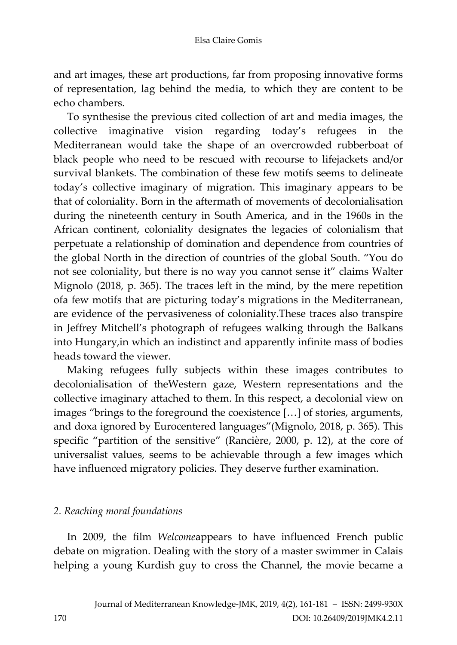and art images, these art productions, far from proposing innovative forms of representation, lag behind the media, to which they are content to be echo chambers.

To synthesise the previous cited collection of art and media images, the collective imaginative vision regarding today's refugees in the Mediterranean would take the shape of an overcrowded rubberboat of black people who need to be rescued with recourse to lifejackets and/or survival blankets. The combination of these few motifs seems to delineate today's collective imaginary of migration. This imaginary appears to be that of coloniality. Born in the aftermath of movements of decolonialisation during the nineteenth century in South America, and in the 1960s in the African continent, coloniality designates the legacies of colonialism that perpetuate a relationship of domination and dependence from countries of the global North in the direction of countries of the global South. "You do not see coloniality, but there is no way you cannot sense it" claims Walter Mignolo (2018, p. 365). The traces left in the mind, by the mere repetition ofa few motifs that are picturing today's migrations in the Mediterranean, are evidence of the pervasiveness of coloniality.These traces also transpire in Jeffrey Mitchell's photograph of refugees walking through the Balkans into Hungary,in which an indistinct and apparently infinite mass of bodies heads toward the viewer.

Making refugees fully subjects within these images contributes to decolonialisation of theWestern gaze, Western representations and the collective imaginary attached to them. In this respect, a decolonial view on images "brings to the foreground the coexistence […] of stories, arguments, and doxa ignored by Eurocentered languages"(Mignolo, 2018, p. 365). This specific "partition of the sensitive" (Rancière, 2000, p. 12), at the core of universalist values, seems to be achievable through a few images which have influenced migratory policies. They deserve further examination.

## *2. Reaching moral foundations*

In 2009, the film *Welcome*appears to have influenced French public debate on migration. Dealing with the story of a master swimmer in Calais helping a young Kurdish guy to cross the Channel, the movie became a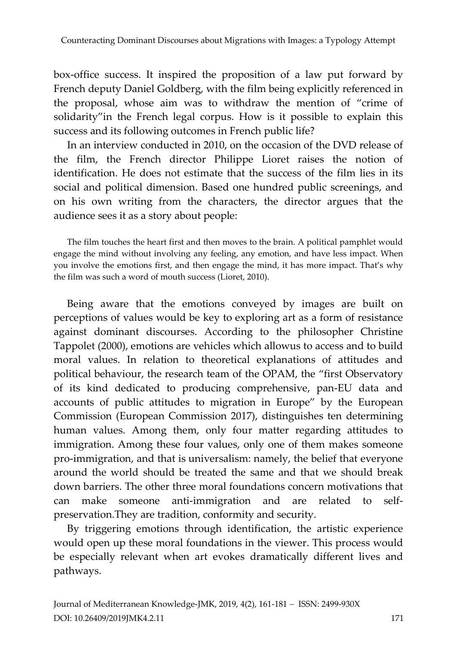box-office success. It inspired the proposition of a law put forward by French deputy Daniel Goldberg, with the film being explicitly referenced in the proposal, whose aim was to withdraw the mention of "crime of solidarity"in the French legal corpus. How is it possible to explain this success and its following outcomes in French public life?

In an interview conducted in 2010, on the occasion of the DVD release of the film, the French director Philippe Lioret raises the notion of identification. He does not estimate that the success of the film lies in its social and political dimension. Based one hundred public screenings, and on his own writing from the characters, the director argues that the audience sees it as a story about people:

The film touches the heart first and then moves to the brain. A political pamphlet would engage the mind without involving any feeling, any emotion, and have less impact. When you involve the emotions first, and then engage the mind, it has more impact. That's why the film was such a word of mouth success (Lioret, 2010).

Being aware that the emotions conveyed by images are built on perceptions of values would be key to exploring art as a form of resistance against dominant discourses. According to the philosopher Christine Tappolet (2000), emotions are vehicles which allowus to access and to build moral values. In relation to theoretical explanations of attitudes and political behaviour, the research team of the OPAM, the "first Observatory of its kind dedicated to producing comprehensive, pan-EU data and accounts of public attitudes to migration in Europe" by the European Commission (European Commission 2017), distinguishes ten determining human values. Among them, only four matter regarding attitudes to immigration. Among these four values, only one of them makes someone pro-immigration, and that is universalism: namely, the belief that everyone around the world should be treated the same and that we should break down barriers. The other three moral foundations concern motivations that can make someone anti-immigration and are related to selfpreservation.They are tradition, conformity and security.

By triggering emotions through identification, the artistic experience would open up these moral foundations in the viewer. This process would be especially relevant when art evokes dramatically different lives and pathways.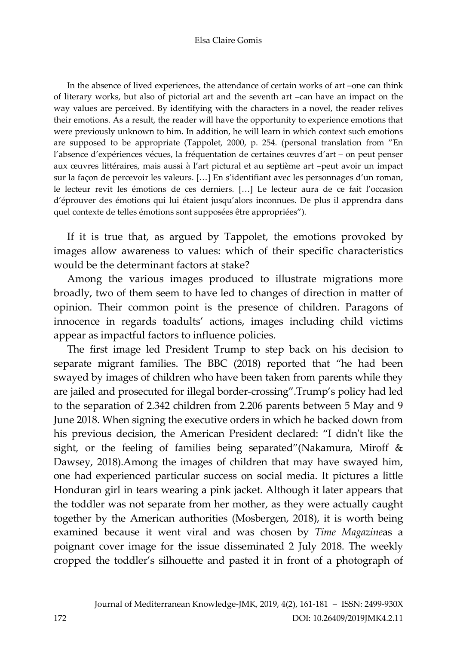#### Elsa Claire Gomis

In the absence of lived experiences, the attendance of certain works of art –one can think of literary works, but also of pictorial art and the seventh art –can have an impact on the way values are perceived. By identifying with the characters in a novel, the reader relives their emotions. As a result, the reader will have the opportunity to experience emotions that were previously unknown to him. In addition, he will learn in which context such emotions are supposed to be appropriate (Tappolet, 2000, p. 254. (personal translation from "En l'absence d'expériences vécues, la fréquentation de certaines œuvres d'art – on peut penser aux œuvres littéraires, mais aussi à l'art pictural et au septième art –peut avoir un impact sur la façon de percevoir les valeurs. […] En s'identifiant avec les personnages d'un roman, le lecteur revit les émotions de ces derniers. […] Le lecteur aura de ce fait l'occasion d'éprouver des émotions qui lui étaient jusqu'alors inconnues. De plus il apprendra dans quel contexte de telles émotions sont supposées être appropriées").

If it is true that, as argued by Tappolet, the emotions provoked by images allow awareness to values: which of their specific characteristics would be the determinant factors at stake?

Among the various images produced to illustrate migrations more broadly, two of them seem to have led to changes of direction in matter of opinion. Their common point is the presence of children. Paragons of innocence in regards toadults' actions, images including child victims appear as impactful factors to influence policies.

The first image led President Trump to step back on his decision to separate migrant families. The BBC (2018) reported that "he had been swayed by images of children who have been taken from parents while they are jailed and prosecuted for illegal border-crossing".Trump's policy had led to the separation of 2.342 children from 2.206 parents between 5 May and 9 June 2018. When signing the executive orders in which he backed down from his previous decision, the American President declared: "I didn't like the sight, or the feeling of families being separated"(Nakamura, Miroff & Dawsey, 2018).Among the images of children that may have swayed him, one had experienced particular success on social media. It pictures a little Honduran girl in tears wearing a pink jacket. Although it later appears that the toddler was not separate from her mother, as they were actually caught together by the American authorities (Mosbergen, 2018), it is worth being examined because it went viral and was chosen by *Time Magazine*as a poignant cover image for the issue disseminated 2 July 2018. The weekly cropped the toddler's silhouette and pasted it in front of a photograph of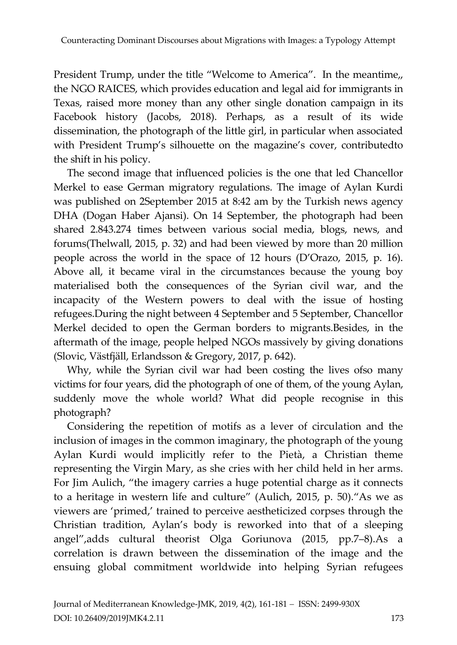President Trump, under the title "Welcome to America". In the meantime,, the NGO RAICES, which provides education and legal aid for immigrants in Texas, raised more money than any other single donation campaign in its Facebook history (Jacobs, 2018). Perhaps, as a result of its wide dissemination, the photograph of the little girl, in particular when associated with President Trump's silhouette on the magazine's cover, contributedto the shift in his policy.

The second image that influenced policies is the one that led Chancellor Merkel to ease German migratory regulations. The image of Aylan Kurdi was published on 2September 2015 at 8:42 am by the Turkish news agency DHA (Dogan Haber Ajansi). On 14 September, the photograph had been shared 2.843.274 times between various social media, blogs, news, and forums(Thelwall, 2015, p. 32) and had been viewed by more than 20 million people across the world in the space of 12 hours (D'Orazo, 2015, p. 16). Above all, it became viral in the circumstances because the young boy materialised both the consequences of the Syrian civil war, and the incapacity of the Western powers to deal with the issue of hosting refugees.During the night between 4 September and 5 September, Chancellor Merkel decided to open the German borders to migrants.Besides, in the aftermath of the image, people helped NGOs massively by giving donations (Slovic, Västfjäll, Erlandsson & Gregory, 2017, p. 642).

Why, while the Syrian civil war had been costing the lives ofso many victims for four years, did the photograph of one of them, of the young Aylan, suddenly move the whole world? What did people recognise in this photograph?

Considering the repetition of motifs as a lever of circulation and the inclusion of images in the common imaginary, the photograph of the young Aylan Kurdi would implicitly refer to the Pietà, a Christian theme representing the Virgin Mary, as she cries with her child held in her arms. For Jim Aulich, "the imagery carries a huge potential charge as it connects to a heritage in western life and culture" (Aulich, 2015, p. 50)."As we as viewers are 'primed,' trained to perceive aestheticized corpses through the Christian tradition, Aylan's body is reworked into that of a sleeping angel",adds cultural theorist Olga Goriunova (2015, pp.7–8).As a correlation is drawn between the dissemination of the image and the ensuing global commitment worldwide into helping Syrian refugees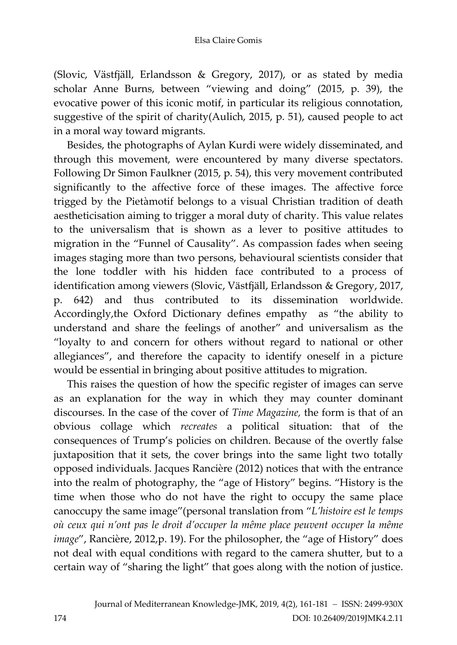(Slovic, Västfjäll, Erlandsson & Gregory, 2017), or as stated by media scholar Anne Burns, between "viewing and doing" (2015, p. 39), the evocative power of this iconic motif, in particular its religious connotation, suggestive of the spirit of charity(Aulich, 2015, p. 51), caused people to act in a moral way toward migrants.

Besides, the photographs of Aylan Kurdi were widely disseminated, and through this movement, were encountered by many diverse spectators. Following Dr Simon Faulkner (2015, p. 54), this very movement contributed significantly to the affective force of these images. The affective force trigged by the Pietàmotif belongs to a visual Christian tradition of death aestheticisation aiming to trigger a moral duty of charity. This value relates to the universalism that is shown as a lever to positive attitudes to migration in the "Funnel of Causality". As compassion fades when seeing images staging more than two persons, behavioural scientists consider that the lone toddler with his hidden face contributed to a process of identification among viewers (Slovic, Västfjäll, Erlandsson & Gregory, 2017, p. 642) and thus contributed to its dissemination worldwide. Accordingly,the Oxford Dictionary defines empathy as "the ability to understand and share the feelings of another" and universalism as the "loyalty to and concern for others without regard to national or other allegiances", and therefore the capacity to identify oneself in a picture would be essential in bringing about positive attitudes to migration.

This raises the question of how the specific register of images can serve as an explanation for the way in which they may counter dominant discourses. In the case of the cover of *Time Magazine,* the form is that of an obvious collage which *recreates* a political situation: that of the consequences of Trump's policies on children. Because of the overtly false juxtaposition that it sets, the cover brings into the same light two totally opposed individuals. Jacques Rancière (2012) notices that with the entrance into the realm of photography, the "age of History" begins. "History is the time when those who do not have the right to occupy the same place canoccupy the same image"(personal translation from "*L'histoire est le temps où ceux qui n'ont pas le droit d'occuper la même place peuvent occuper la même image*", Rancière, 2012,p. 19). For the philosopher, the "age of History" does not deal with equal conditions with regard to the camera shutter, but to a certain way of "sharing the light" that goes along with the notion of justice.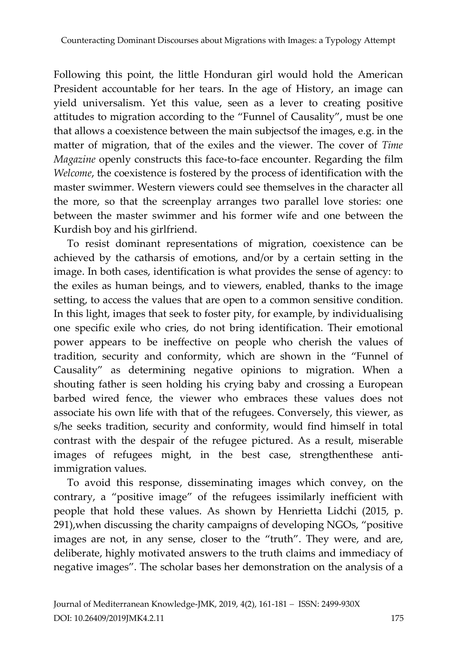Following this point, the little Honduran girl would hold the American President accountable for her tears. In the age of History, an image can yield universalism. Yet this value, seen as a lever to creating positive attitudes to migration according to the "Funnel of Causality", must be one that allows a coexistence between the main subjectsof the images, e.g. in the matter of migration, that of the exiles and the viewer. The cover of *Time Magazine* openly constructs this face-to-face encounter. Regarding the film *Welcome*, the coexistence is fostered by the process of identification with the master swimmer. Western viewers could see themselves in the character all the more, so that the screenplay arranges two parallel love stories: one between the master swimmer and his former wife and one between the Kurdish boy and his girlfriend.

To resist dominant representations of migration, coexistence can be achieved by the catharsis of emotions, and/or by a certain setting in the image. In both cases, identification is what provides the sense of agency: to the exiles as human beings, and to viewers, enabled, thanks to the image setting, to access the values that are open to a common sensitive condition. In this light, images that seek to foster pity, for example, by individualising one specific exile who cries, do not bring identification. Their emotional power appears to be ineffective on people who cherish the values of tradition, security and conformity, which are shown in the "Funnel of Causality" as determining negative opinions to migration. When a shouting father is seen holding his crying baby and crossing a European barbed wired fence, the viewer who embraces these values does not associate his own life with that of the refugees. Conversely, this viewer, as s/he seeks tradition, security and conformity, would find himself in total contrast with the despair of the refugee pictured. As a result, miserable images of refugees might, in the best case, strengthenthese antiimmigration values.

To avoid this response, disseminating images which convey, on the contrary, a "positive image" of the refugees issimilarly inefficient with people that hold these values. As shown by Henrietta Lidchi (2015, p. 291),when discussing the charity campaigns of developing NGOs, "positive images are not, in any sense, closer to the "truth". They were, and are, deliberate, highly motivated answers to the truth claims and immediacy of negative images". The scholar bases her demonstration on the analysis of a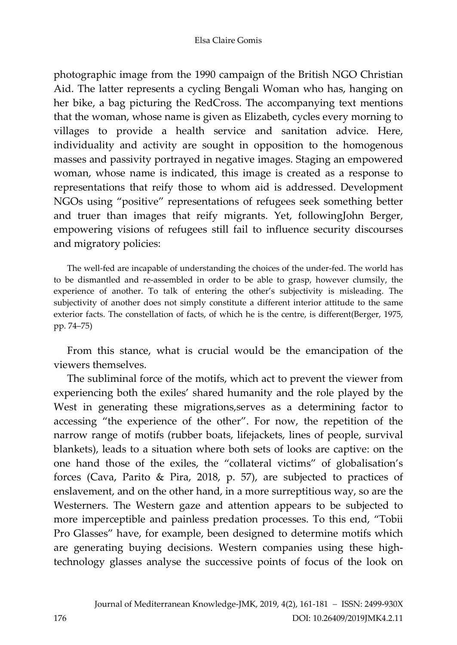photographic image from the 1990 campaign of the British NGO Christian Aid. The latter represents a cycling Bengali Woman who has, hanging on her bike, a bag picturing the RedCross. The accompanying text mentions that the woman, whose name is given as Elizabeth, cycles every morning to villages to provide a health service and sanitation advice. Here, individuality and activity are sought in opposition to the homogenous masses and passivity portrayed in negative images. Staging an empowered woman, whose name is indicated, this image is created as a response to representations that reify those to whom aid is addressed. Development NGOs using "positive" representations of refugees seek something better and truer than images that reify migrants. Yet, followingJohn Berger, empowering visions of refugees still fail to influence security discourses and migratory policies:

The well-fed are incapable of understanding the choices of the under-fed. The world has to be dismantled and re-assembled in order to be able to grasp, however clumsily, the experience of another. To talk of entering the other's subjectivity is misleading. The subjectivity of another does not simply constitute a different interior attitude to the same exterior facts. The constellation of facts, of which he is the centre, is different(Berger, 1975, pp. 74–75)

From this stance, what is crucial would be the emancipation of the viewers themselves.

The subliminal force of the motifs, which act to prevent the viewer from experiencing both the exiles' shared humanity and the role played by the West in generating these migrations,serves as a determining factor to accessing "the experience of the other". For now, the repetition of the narrow range of motifs (rubber boats, lifejackets, lines of people, survival blankets), leads to a situation where both sets of looks are captive: on the one hand those of the exiles, the "collateral victims" of globalisation's forces (Cava, Parito & Pira, 2018, p. 57), are subjected to practices of enslavement, and on the other hand, in a more surreptitious way, so are the Westerners. The Western gaze and attention appears to be subjected to more imperceptible and painless predation processes. To this end, "Tobii Pro Glasses" have, for example, been designed to determine motifs which are generating buying decisions. Western companies using these hightechnology glasses analyse the successive points of focus of the look on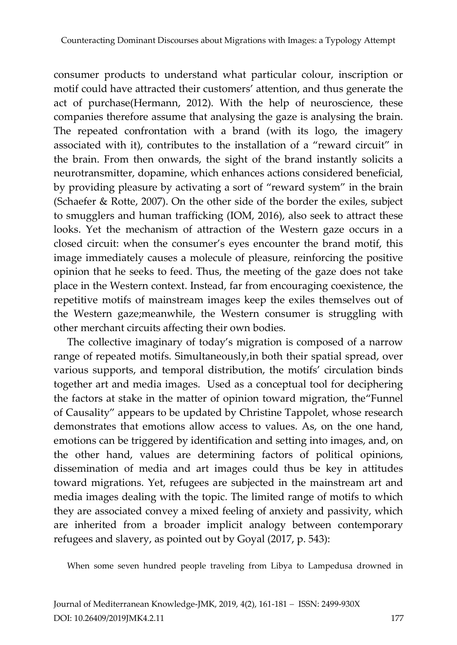consumer products to understand what particular colour, inscription or motif could have attracted their customers' attention, and thus generate the act of purchase(Hermann, 2012). With the help of neuroscience, these companies therefore assume that analysing the gaze is analysing the brain. The repeated confrontation with a brand (with its logo, the imagery associated with it), contributes to the installation of a "reward circuit" in the brain. From then onwards, the sight of the brand instantly solicits a neurotransmitter, dopamine, which enhances actions considered beneficial, by providing pleasure by activating a sort of "reward system" in the brain (Schaefer & Rotte, 2007). On the other side of the border the exiles, subject to smugglers and human trafficking (IOM, 2016), also seek to attract these looks. Yet the mechanism of attraction of the Western gaze occurs in a closed circuit: when the consumer's eyes encounter the brand motif, this image immediately causes a molecule of pleasure, reinforcing the positive opinion that he seeks to feed. Thus, the meeting of the gaze does not take place in the Western context. Instead, far from encouraging coexistence, the repetitive motifs of mainstream images keep the exiles themselves out of the Western gaze;meanwhile, the Western consumer is struggling with other merchant circuits affecting their own bodies.

The collective imaginary of today's migration is composed of a narrow range of repeated motifs. Simultaneously,in both their spatial spread, over various supports, and temporal distribution, the motifs' circulation binds together art and media images. Used as a conceptual tool for deciphering the factors at stake in the matter of opinion toward migration, the"Funnel of Causality" appears to be updated by Christine Tappolet, whose research demonstrates that emotions allow access to values. As, on the one hand, emotions can be triggered by identification and setting into images, and, on the other hand, values are determining factors of political opinions, dissemination of media and art images could thus be key in attitudes toward migrations. Yet, refugees are subjected in the mainstream art and media images dealing with the topic. The limited range of motifs to which they are associated convey a mixed feeling of anxiety and passivity, which are inherited from a broader implicit analogy between contemporary refugees and slavery, as pointed out by Goyal (2017, p. 543):

When some seven hundred people traveling from Libya to Lampedusa drowned in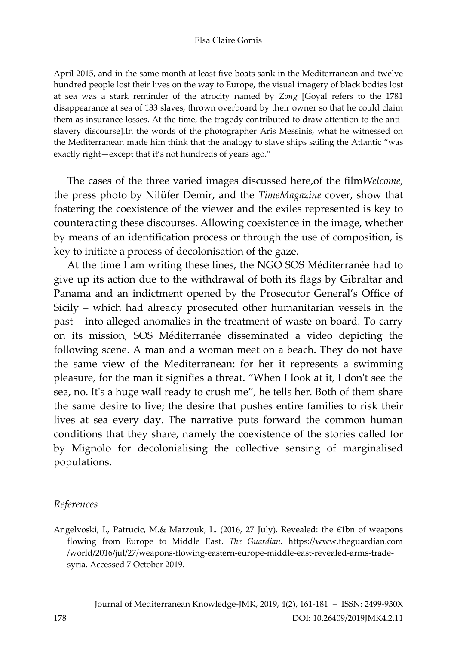#### Elsa Claire Gomis

April 2015, and in the same month at least five boats sank in the Mediterranean and twelve hundred people lost their lives on the way to Europe, the visual imagery of black bodies lost at sea was a stark reminder of the atrocity named by *Zong* [Goyal refers to the 1781 disappearance at sea of 133 slaves, thrown overboard by their owner so that he could claim them as insurance losses. At the time, the tragedy contributed to draw attention to the antislavery discourse].In the words of the photographer Aris Messinis, what he witnessed on the Mediterranean made him think that the analogy to slave ships sailing the Atlantic "was exactly right—except that it's not hundreds of years ago."

The cases of the three varied images discussed here,of the film*Welcome*, the press photo by Nilüfer Demir, and the *TimeMagazine* cover, show that fostering the coexistence of the viewer and the exiles represented is key to counteracting these discourses. Allowing coexistence in the image, whether by means of an identification process or through the use of composition, is key to initiate a process of decolonisation of the gaze.

At the time I am writing these lines, the NGO SOS Méditerranée had to give up its action due to the withdrawal of both its flags by Gibraltar and Panama and an indictment opened by the Prosecutor General's Office of Sicily – which had already prosecuted other humanitarian vessels in the past – into alleged anomalies in the treatment of waste on board. To carry on its mission, SOS Méditerranée disseminated a video depicting the following scene. A man and a woman meet on a beach. They do not have the same view of the Mediterranean: for her it represents a swimming pleasure, for the man it signifies a threat. "When I look at it, I don't see the sea, no. It's a huge wall ready to crush me", he tells her*.* Both of them share the same desire to live; the desire that pushes entire families to risk their lives at sea every day. The narrative puts forward the common human conditions that they share, namely the coexistence of the stories called for by Mignolo for decolonialising the collective sensing of marginalised populations.

#### *References*

Angelvoski, I., Patrucic, M.& Marzouk, L. (2016, 27 July). Revealed: the £1bn of weapons flowing from Europe to Middle East. *The Guardian.* https://www.theguardian.com /world/2016/jul/27/weapons-flowing-eastern-europe-middle-east-revealed-arms-tradesyria. Accessed 7 October 2019.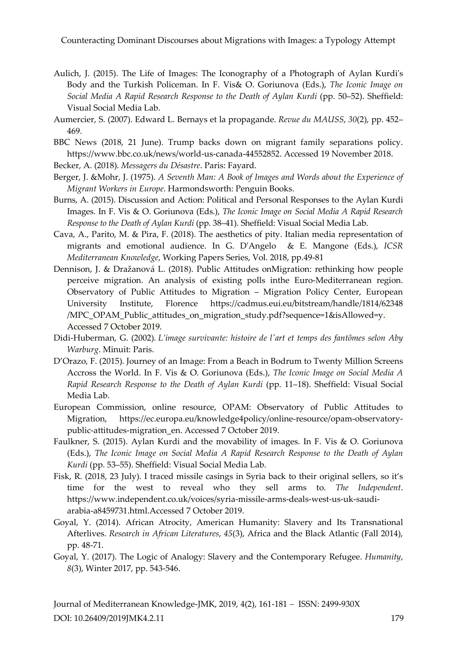Counteracting Dominant Discourses about Migrations with Images: a Typology Attempt

- Aulich, J. (2015). The Life of Images: The Iconography of a Photograph of Aylan Kurdi's Body and the Turkish Policeman. In F. Vis& O. Goriunova (Eds.), *The Iconic Image on Social Media A Rapid Research Response to the Death of Aylan Kurdi* (pp. 50–52). Sheffield: Visual Social Media Lab.
- Aumercier, S. (2007). Edward L. Bernays et la propagande. *Revue du MAUSS*, *30*(2), pp. 452– 469.
- BBC News (2018, 21 June). Trump backs down on migrant family separations policy. https://www.bbc.co.uk/news/world-us-canada-44552852. Accessed 19 November 2018.
- Becker, A. (2018). *Messagers du Désastre*. Paris: Fayard.
- Berger, J. &Mohr, J. (1975). *A Seventh Man: A Book of Images and Words about the Experience of Migrant Workers in Europe*. Harmondsworth: Penguin Books.
- Burns, A. (2015). Discussion and Action: Political and Personal Responses to the Aylan Kurdi Images. In F. Vis & O. Goriunova (Eds.), *The Iconic Image on Social Media A Rapid Research Response to the Death of Aylan Kurdi* (pp. 38–41). Sheffield: Visual Social Media Lab.
- Cava, A., Parito, M. & Pira, F. (2018). The aesthetics of pity. Italian media representation of migrants and emotional audience. In G. D'Angelo & E. Mangone (Eds.), *ICSR Mediterranean Knowledge*, Working Papers Series, Vol. 2018, pp.49-81
- Dennison, J. & Dražanová L. (2018). Public Attitudes onMigration: rethinking how people perceive migration. An analysis of existing polls inthe Euro-Mediterranean region. Observatory of Public Attitudes to Migration – Migration Policy Center, European University Institute, Florence https://cadmus.eui.eu/bitstream/handle/1814/62348 /MPC\_OPAM\_Public\_attitudes\_on\_migration\_study.pdf?sequence=1&isAllowed=y. Accessed 7 October 2019.
- [Didi-Huberman,](https://en.wikipedia.org/wiki/Georges_Didi-Huberman) G. (2002). *L'image survivante: histoire de l'art et temps des fantômes selon Aby Warburg*. Minuit: Paris.
- D'Orazo, F. (2015). Journey of an Image: From a Beach in Bodrum to Twenty Million Screens Accross the World. In F. Vis & O. Goriunova (Eds.), *The Iconic Image on Social Media A Rapid Research Response to the Death of Aylan Kurdi* (pp. 11–18). Sheffield: Visual Social Media Lab.
- European Commission, online resource, OPAM: Observatory of Public Attitudes to Migration, [https://ec.europa.eu/knowledge4policy/online-resource/opam-observatory](https://ec.europa.eu/knowledge4policy/online-resource/opam-observatory-public-attitudes-migration_en)[public-attitudes-migration\\_en.](https://ec.europa.eu/knowledge4policy/online-resource/opam-observatory-public-attitudes-migration_en) Accessed 7 October 2019.
- Faulkner, S. (2015). Aylan Kurdi and the movability of images. In F. Vis & O. Goriunova (Eds.), *The Iconic Image on Social Media A Rapid Research Response to the Death of Aylan Kurdi* (pp. 53–55). Sheffield: Visual Social Media Lab.
- Fisk, R. (2018, 23 July). I traced missile casings in Syria back to their original sellers, so it's time for the west to reveal who they sell arms to. *The Independent*. https://www.independent.co.uk/voices/syria-missile-arms-deals-west-us-uk-saudiarabia-a8459731.html.Accessed 7 October 2019.
- Goyal, Y. (2014). African Atrocity, American Humanity: Slavery and Its Transnational Afterlives. *Research in African Literatures*, *45*(3), Africa and the Black Atlantic (Fall 2014), pp. 48-71.
- Goyal, Y. (2017). The Logic of Analogy: Slavery and the Contemporary Refugee. *Humanity*, *8*(3), Winter 2017, pp. 543-546.

Journal of Mediterranean Knowledge-JMK, 2019, 4(2), 161-181 − ISSN: 2499-930X DOI: 10.26409/2019JMK4.2.11 179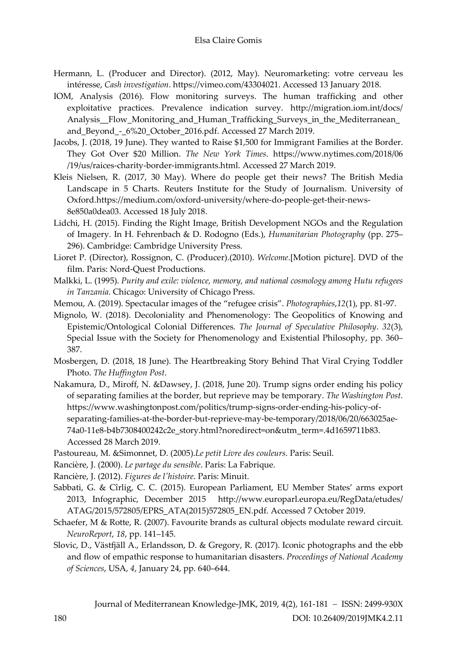- Hermann, L. (Producer and Director). (2012, May). Neuromarketing: votre cerveau les intéresse, *Cash investigation*. https://vimeo.com/43304021. Accessed 13 January 2018.
- IOM, Analysis (2016). Flow monitoring surveys. The human trafficking and other exploitative practices. Prevalence indication survey. http://migration.iom.int/docs/ Analysis\_Flow\_Monitoring\_and\_Human\_Trafficking\_Surveys\_in\_the\_Mediterranean\_ and Beyond - 6%20 October 2016.pdf. Accessed 27 March 2019.
- Jacobs, J. (2018, 19 June). They wanted to Raise \$1,500 for Immigrant Families at the Border. They Got Over \$20 Million. *The New York Times*. https://www.nytimes.com/2018/06 /19/us/raices-charity-border-immigrants.html. Accessed 27 March 2019.
- [Kleis Nielsen,](http://reutersinstitute.politics.ox.ac.uk/people/dr-rasmus-kleis-nielsen-director-research) R. (2017, 30 May). Where do people get their news? The British Media Landscape in 5 Charts. Reuters Institute for the Study of Journalism. University of Oxford.https://medium.com/oxford-university/where-do-people-get-their-news-8e850a0dea03. Accessed 18 July 2018.
- Lidchi, H. (2015). Finding the Right Image, British Development NGOs and the Regulation of Imagery. In H. Fehrenbach & D. Rodogno (Eds.), *Humanitarian Photography* (pp. 275– 296). Cambridge: Cambridge University Press.
- Lioret P. (Director), Rossignon, C. (Producer).(2010). *Welcome*.[Motion picture]. DVD of the film. Paris: Nord-Quest Productions.
- Malkki, L. (1995). *Purity and exile: violence, memory, and national cosmology among Hutu refugees in Tanzania*. Chicago: University of Chicago Press.
- Memou, A. (2019). Spectacular images of the "refugee crisis". *Photographies*,*12*(1), pp. 81-97.
- Mignolo, W. (2018). Decoloniality and Phenomenology: The Geopolitics of Knowing and Epistemic/Ontological Colonial Differences. *The Journal of Speculative Philosophy*. *32*(3), Special Issue with the Society for Phenomenology and Existential Philosophy, pp. 360– 387.
- Mosbergen, D. (2018, 18 June). The Heartbreaking Story Behind That Viral Crying Toddler Photo. *The Huffington Post*.
- Nakamura, D., Miroff, N. &Dawsey, J. (2018, June 20). Trump signs order ending his policy of separating families at the border, but reprieve may be temporary. *The Washington Post*. https://www.washingtonpost.com/politics/trump-signs-order-ending-his-policy-ofseparating-families-at-the-border-but-reprieve-may-be-temporary/2018/06/20/663025ae-74a0-11e8-b4b7308400242c2e\_story.html?noredirect=on&utm\_term=.4d1659711b83. Accessed 28 March 2019.
- Pastoureau, M. &Simonnet, D. (2005).*Le petit Livre des couleurs*. Paris: Seuil.
- Rancière, J. (2000). *Le partage du sensible*. Paris: La Fabrique.
- Rancière, J. (2012). *Figures de l'histoire*. Paris: Minuit.
- Sabbati, G. & Cîrlig, C. C. (2015). European Parliament, EU Member States' arms export 2013, Infographic, December 2015 http://www.europarl.europa.eu/RegData/etudes/ ATAG/2015/572805/EPRS\_ATA(2015)572805\_EN.pdf. Accessed 7 October 2019.
- Schaefer, M & Rotte, R. (2007). Favourite brands as cultural objects modulate reward circuit. *NeuroReport*, *18*, pp. 141–145.
- Slovic, D., Västfjäll A., Erlandsson, D. & Gregory, R. (2017). Iconic photographs and the ebb and flow of empathic response to humanitarian disasters. *Proceedings of National Academy of Sciences*, USA, *4*, January 24, pp. 640–644.